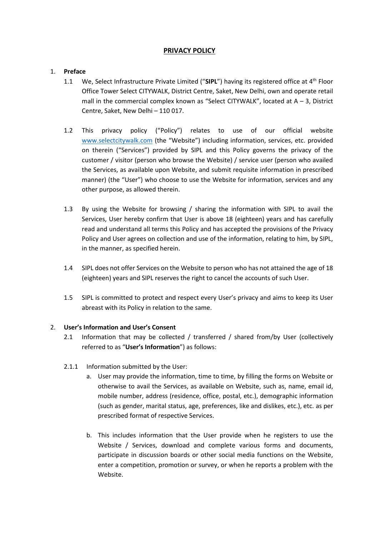# **PRIVACY POLICY**

## 1. **Preface**

- 1.1 We, Select Infrastructure Private Limited ("**SIPL**") having its registered office at 4th Floor Office Tower Select CITYWALK, District Centre, Saket, New Delhi, own and operate retail mall in the commercial complex known as "Select CITYWALK", located at  $A - 3$ , District Centre, Saket, New Delhi – 110 017.
- 1.2 This privacy policy ("Policy") relates to use of our official website [www.selectcitywalk.com](http://www.selectcitywalk.com/) (the "Website") including information, services, etc. provided on therein ("Services") provided by SIPL and this Policy governs the privacy of the customer / visitor (person who browse the Website) / service user (person who availed the Services, as available upon Website, and submit requisite information in prescribed manner) (the "User") who choose to use the Website for information, services and any other purpose, as allowed therein.
- 1.3 By using the Website for browsing / sharing the information with SIPL to avail the Services, User hereby confirm that User is above 18 (eighteen) years and has carefully read and understand all terms this Policy and has accepted the provisions of the Privacy Policy and User agrees on collection and use of the information, relating to him, by SIPL, in the manner, as specified herein.
- 1.4 SIPL does not offer Services on the Website to person who has not attained the age of 18 (eighteen) years and SIPL reserves the right to cancel the accounts of such User.
- 1.5 SIPL is committed to protect and respect every User's privacy and aims to keep its User abreast with its Policy in relation to the same.

#### 2. **User's Information and User's Consent**

- 2.1 Information that may be collected / transferred / shared from/by User (collectively referred to as "**User's Information**") as follows:
- 2.1.1 Information submitted by the User:
	- a. User may provide the information, time to time, by filling the forms on Website or otherwise to avail the Services, as available on Website, such as, name, email id, mobile number, address (residence, office, postal, etc.), demographic information (such as gender, marital status, age, preferences, like and dislikes, etc.), etc. as per prescribed format of respective Services.
	- b. This includes information that the User provide when he registers to use the Website / Services, download and complete various forms and documents, participate in discussion boards or other social media functions on the Website, enter a competition, promotion or survey, or when he reports a problem with the Website.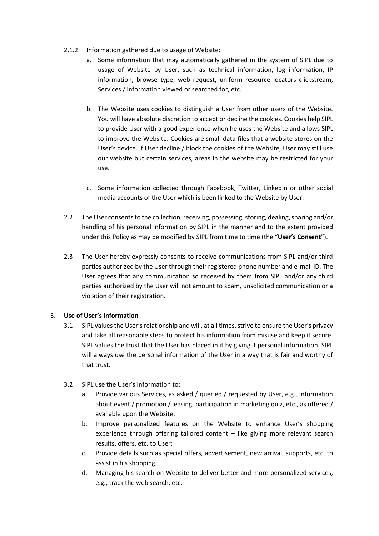- 2.1.2 Information gathered due to usage of Website:
	- a. Some information that may automatically gathered in the system of SIPL due to usage of Website by User, such as technical information, log information, IP information, browse type, web request, uniform resource locators clickstream, Services / information viewed or searched for, etc.
	- b. The Website uses cookies to distinguish a User from other users of the Website. You will have absolute discretion to accept or decline the cookies. Cookies help SIPL to provide User with a good experience when he uses the Website and allows SIPL to improve the Website. Cookies are small data files that a website stores on the User's device. If User decline / block the cookies of the Website, User may still use our website but certain services, areas in the website may be restricted for your use.
	- c. Some information collected through Facebook, Twitter, LinkedIn or other social media accounts of the User which is been linked to the Website by User.
- 2.2 The User consents to the collection, receiving, possessing, storing, dealing, sharing and/or handling of his personal information by SIPL in the manner and to the extent provided under this Policy as may be modified by SIPL from time to time (the "**User's Consent**").
- 2.3 The User hereby expressly consents to receive communications from SIPL and/or third parties authorized by the User through their registered phone number and e-mail ID. The User agrees that any communication so received by them from SIPL and/or any third parties authorized by the User will not amount to spam, unsolicited communication or a violation of their registration.

## 3. **Use of User's Information**

- 3.1 SIPL values the User's relationship and will, at all times, strive to ensure the User's privacy and take all reasonable steps to protect his information from misuse and keep it secure. SIPL values the trust that the User has placed in it by giving it personal information. SIPL will always use the personal information of the User in a way that is fair and worthy of that trust.
- 3.2 SIPL use the User's Information to:
	- a. Provide various Services, as asked / queried / requested by User, e.g., information about event / promotion / leasing, participation in marketing quiz, etc., as offered / available upon the Website;
	- b. Improve personalized features on the Website to enhance User's shopping experience through offering tailored content – like giving more relevant search results, offers, etc. to User;
	- c. Provide details such as special offers, advertisement, new arrival, supports, etc. to assist in his shopping;
	- d. Managing his search on Website to deliver better and more personalized services, e.g., track the web search, etc.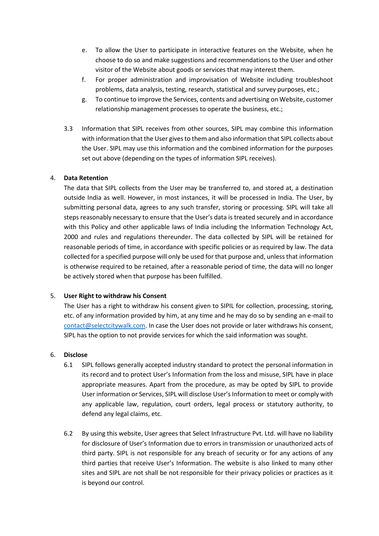- e. To allow the User to participate in interactive features on the Website, when he choose to do so and make suggestions and recommendations to the User and other visitor of the Website about goods or services that may interest them.
- f. For proper administration and improvisation of Website including troubleshoot problems, data analysis, testing, research, statistical and survey purposes, etc.;
- g. To continue to improve the Services, contents and advertising on Website, customer relationship management processes to operate the business, etc.;
- 3.3 Information that SIPL receives from other sources, SIPL may combine this information with information that the User gives to them and also information that SIPL collects about the User. SIPL may use this information and the combined information for the purposes set out above (depending on the types of information SIPL receives).

#### 4. **Data Retention**

The data that SIPL collects from the User may be transferred to, and stored at, a destination outside India as well. However, in most instances, it will be processed in India. The User, by submitting personal data, agrees to any such transfer, storing or processing. SIPL will take all steps reasonably necessary to ensure that the User's data is treated securely and in accordance with this Policy and other applicable laws of India including the Information Technology Act, 2000 and rules and regulations thereunder. The data collected by SIPL will be retained for reasonable periods of time, in accordance with specific policies or as required by law. The data collected for a specified purpose will only be used for that purpose and, unless that information is otherwise required to be retained, after a reasonable period of time, the data will no longer be actively stored when that purpose has been fulfilled.

#### 5. **User Right to withdraw his Consent**

The User has a right to withdraw his consent given to SIPIL for collection, processing, storing, etc. of any information provided by him, at any time and he may do so by sending an e-mail to [contact@selectcitywalk.com.](mailto:contact@selectcitywalk.com) In case the User does not provide or later withdraws his consent, SIPL has the option to not provide services for which the said information was sought.

#### 6. **Disclose**

- 6.1 SIPL follows generally accepted industry standard to protect the personal information in its record and to protect User's Information from the loss and misuse, SIPL have in place appropriate measures. Apart from the procedure, as may be opted by SIPL to provide User information or Services, SIPL will disclose User's Information to meet or comply with any applicable law, regulation, court orders, legal process or statutory authority, to defend any legal claims, etc.
- 6.2 By using this website, User agrees that Select Infrastructure Pvt. Ltd. will have no liability for disclosure of User's Information due to errors in transmission or unauthorized acts of third party. SIPL is not responsible for any breach of security or for any actions of any third parties that receive User's Information. The website is also linked to many other sites and SIPL are not shall be not responsible for their privacy policies or practices as it is beyond our control.